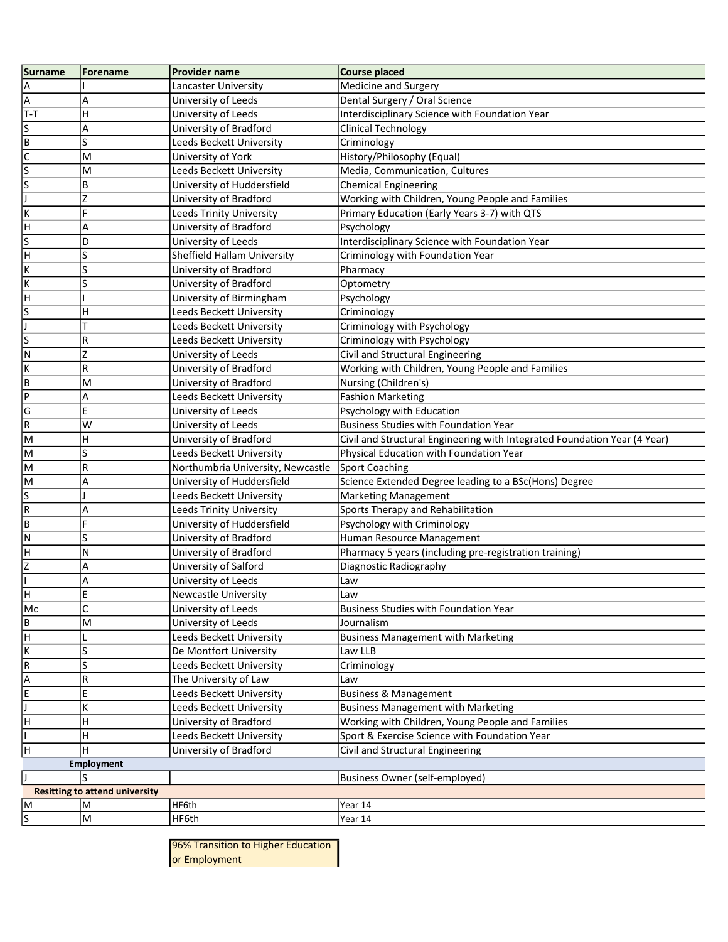| Surname                 | <b>Forename</b>                       | <b>Provider name</b>              | <b>Course placed</b>                                                      |
|-------------------------|---------------------------------------|-----------------------------------|---------------------------------------------------------------------------|
| Α                       |                                       | Lancaster University              | Medicine and Surgery                                                      |
| A                       | Α                                     | University of Leeds               | Dental Surgery / Oral Science                                             |
| T-T                     | Η                                     | University of Leeds               | Interdisciplinary Science with Foundation Year                            |
| S                       | Α                                     | University of Bradford            | Clinical Technology                                                       |
| Π                       | S                                     | Leeds Beckett University          | Criminology                                                               |
| $\overline{\mathsf{c}}$ | M                                     | University of York                | History/Philosophy (Equal)                                                |
| s                       | M                                     | Leeds Beckett University          | Media, Communication, Cultures                                            |
| s                       | B                                     | University of Huddersfield        | <b>Chemical Engineering</b>                                               |
| J                       | Z                                     | University of Bradford            | Working with Children, Young People and Families                          |
| Ιĸ                      | F                                     | Leeds Trinity University          | Primary Education (Early Years 3-7) with QTS                              |
| lн                      | A                                     | University of Bradford            | Psychology                                                                |
| s                       | D                                     | University of Leeds               | Interdisciplinary Science with Foundation Year                            |
| H                       | S                                     | Sheffield Hallam University       | Criminology with Foundation Year                                          |
| К                       | S                                     | University of Bradford            | Pharmacy                                                                  |
| K                       | S                                     | University of Bradford            | Optometry                                                                 |
| H                       |                                       | University of Birmingham          | Psychology                                                                |
| s                       | H                                     | Leeds Beckett University          | Criminology                                                               |
|                         |                                       | Leeds Beckett University          | Criminology with Psychology                                               |
| $\overline{\mathsf{S}}$ | R                                     | Leeds Beckett University          | Criminology with Psychology                                               |
| ${\sf N}$               | Z                                     | University of Leeds               | Civil and Structural Engineering                                          |
| K                       | R                                     | University of Bradford            | Working with Children, Young People and Families                          |
| B                       | M                                     | University of Bradford            | Nursing (Children's)                                                      |
| $\mathsf{P}$            | A                                     | Leeds Beckett University          | <b>Fashion Marketing</b>                                                  |
| G                       | E                                     | University of Leeds               | Psychology with Education                                                 |
| $\sf R$                 | W                                     | University of Leeds               | <b>Business Studies with Foundation Year</b>                              |
| M                       | H                                     | University of Bradford            | Civil and Structural Engineering with Integrated Foundation Year (4 Year) |
| lм                      | S                                     | Leeds Beckett University          | Physical Education with Foundation Year                                   |
| M                       | R                                     | Northumbria University, Newcastle | Sport Coaching                                                            |
| M                       | A                                     | University of Huddersfield        | Science Extended Degree leading to a BSc(Hons) Degree                     |
| S                       |                                       | Leeds Beckett University          | <b>Marketing Management</b>                                               |
| $\sf R$                 | А                                     | Leeds Trinity University          | Sports Therapy and Rehabilitation                                         |
| lв                      | F                                     | University of Huddersfield        | Psychology with Criminology                                               |
| N                       | S                                     | University of Bradford            | Human Resource Management                                                 |
| H                       | N                                     | University of Bradford            | Pharmacy 5 years (including pre-registration training)                    |
| lz                      | A                                     | University of Salford             | Diagnostic Radiography                                                    |
|                         | A                                     | University of Leeds               | Law                                                                       |
| н                       | E                                     | <b>Newcastle University</b>       | Law                                                                       |
| Mc                      | C                                     | University of Leeds               | <b>Business Studies with Foundation Year</b>                              |
| B                       | M                                     | University of Leeds               | Journalism                                                                |
| H                       |                                       | Leeds Beckett University          | <b>Business Management with Marketing</b>                                 |
| $\overline{\mathsf{K}}$ | S                                     | De Montfort University            | Law LLB                                                                   |
| $\overline{R}$          | S                                     | Leeds Beckett University          | Criminology                                                               |
| A                       | R                                     | The University of Law             | Law                                                                       |
| E                       | E                                     | Leeds Beckett University          | <b>Business &amp; Management</b>                                          |
|                         | K                                     | Leeds Beckett University          | <b>Business Management with Marketing</b>                                 |
| H                       | н                                     | University of Bradford            | Working with Children, Young People and Families                          |
|                         | Η                                     | Leeds Beckett University          | Sport & Exercise Science with Foundation Year                             |
| H                       | н                                     | University of Bradford            | Civil and Structural Engineering                                          |
|                         | <b>Employment</b>                     |                                   |                                                                           |
| IJ                      |                                       |                                   | <b>Business Owner (self-employed)</b>                                     |
|                         | <b>Resitting to attend university</b> |                                   |                                                                           |
| M                       | M                                     | HF6th                             | Year 14                                                                   |
| s                       | M                                     | HF6th                             | Year 14                                                                   |

96% Transition to Higher Education or Employment